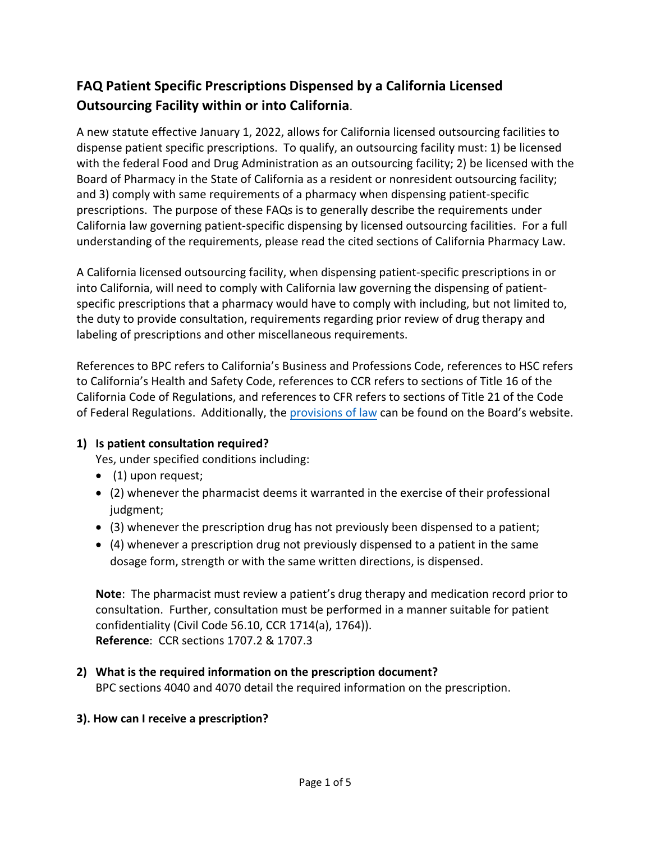# **FAQ Patient Specific Prescriptions Dispensed by a California Licensed Outsourcing Facility within or into California**.

A new statute effective January 1, 2022, allows for California licensed outsourcing facilities to dispense patient specific prescriptions. To qualify, an outsourcing facility must: 1) be licensed with the federal Food and Drug Administration as an outsourcing facility; 2) be licensed with the Board of Pharmacy in the State of California as a resident or nonresident outsourcing facility; and 3) comply with same requirements of a pharmacy when dispensing patient-specific prescriptions. The purpose of these FAQs is to generally describe the requirements under California law governing patient-specific dispensing by licensed outsourcing facilities. For a full understanding of the requirements, please read the cited sections of California Pharmacy Law.

A California licensed outsourcing facility, when dispensing patient-specific prescriptions in or into California, will need to comply with California law governing the dispensing of patientspecific prescriptions that a pharmacy would have to comply with including, but not limited to, the duty to provide consultation, requirements regarding prior review of drug therapy and labeling of prescriptions and other miscellaneous requirements.

References to BPC refers to California's Business and Professions Code, references to HSC refers to California's Health and Safety Code, references to CCR refers to sections of Title 16 of the California Code of Regulations, and references to CFR refers to sections of Title 21 of the Code of Federal Regulations. Additionally, the [provisions of law](https://www.pharmacy.ca.gov/laws_regs/lawbook.pdf) can be found on the Board's website.

#### **1) Is patient consultation required?**

Yes, under specified conditions including:

- (1) upon request;
- (2) whenever the pharmacist deems it warranted in the exercise of their professional judgment;
- (3) whenever the prescription drug has not previously been dispensed to a patient;
- (4) whenever a prescription drug not previously dispensed to a patient in the same dosage form, strength or with the same written directions, is dispensed.

**Note**: The pharmacist must review a patient's drug therapy and medication record prior to consultation. Further, consultation must be performed in a manner suitable for patient confidentiality (Civil Code 56.10, CCR 1714(a), 1764)). **Reference**: CCR sections 1707.2 & 1707.3

### **2) What is the required information on the prescription document?**

BPC sections 4040 and 4070 detail the required information on the prescription.

#### **3). How can I receive a prescription?**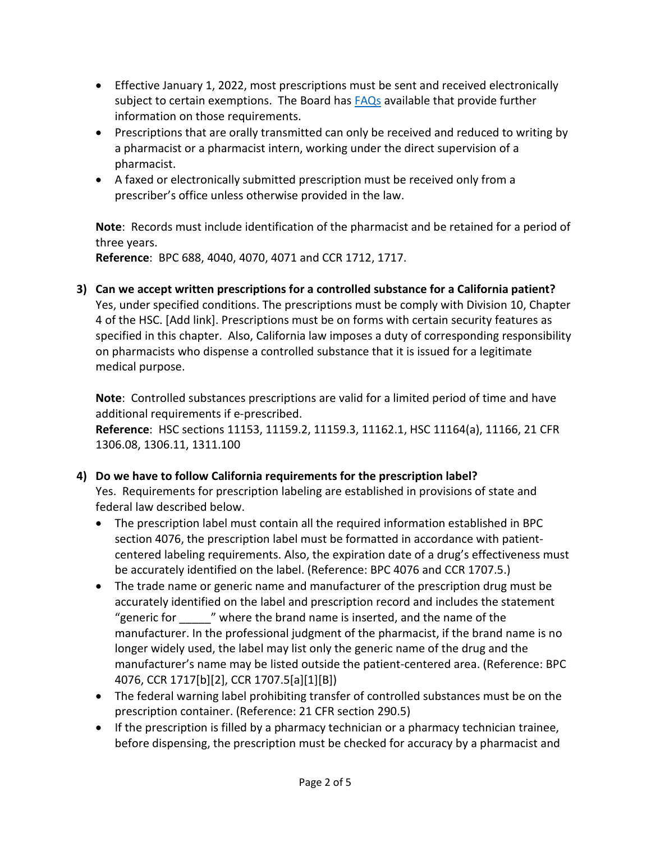- Effective January 1, 2022, most prescriptions must be sent and received electronically subject to certain exemptions. The Board has [FAQs](https://www.pharmacy.ca.gov/licensees/erx-faqs.shtml) available that provide further information on those requirements.
- Prescriptions that are orally transmitted can only be received and reduced to writing by a pharmacist or a pharmacist intern, working under the direct supervision of a pharmacist.
- A faxed or electronically submitted prescription must be received only from a prescriber's office unless otherwise provided in the law.

**Note**: Records must include identification of the pharmacist and be retained for a period of three years.

**Reference**: BPC 688, 4040, 4070, 4071 and CCR 1712, 1717.

**3) Can we accept written prescriptions for a controlled substance for a California patient?** Yes, under specified conditions. The prescriptions must be comply with Division 10, Chapter 4 of the HSC. [Add link]. Prescriptions must be on forms with certain security features as specified in this chapter. Also, California law imposes a duty of corresponding responsibility on pharmacists who dispense a controlled substance that it is issued for a legitimate medical purpose.

**Note**: Controlled substances prescriptions are valid for a limited period of time and have additional requirements if e-prescribed.

**Reference**: HSC sections 11153, 11159.2, 11159.3, 11162.1, HSC 11164(a), 11166, 21 CFR 1306.08, 1306.11, 1311.100

## **4) Do we have to follow California requirements for the prescription label?**

Yes. Requirements for prescription labeling are established in provisions of state and federal law described below.

- The prescription label must contain all the required information established in BPC section 4076, the prescription label must be formatted in accordance with patientcentered labeling requirements. Also, the expiration date of a drug's effectiveness must be accurately identified on the label. (Reference: BPC 4076 and CCR 1707.5.)
- The trade name or generic name and manufacturer of the prescription drug must be accurately identified on the label and prescription record and includes the statement "generic for \_\_\_\_\_" where the brand name is inserted, and the name of the manufacturer. In the professional judgment of the pharmacist, if the brand name is no longer widely used, the label may list only the generic name of the drug and the manufacturer's name may be listed outside the patient-centered area. (Reference: BPC 4076, CCR 1717[b][2], CCR 1707.5[a][1][B])
- The federal warning label prohibiting transfer of controlled substances must be on the prescription container. (Reference: 21 CFR section 290.5)
- If the prescription is filled by a pharmacy technician or a pharmacy technician trainee, before dispensing, the prescription must be checked for accuracy by a pharmacist and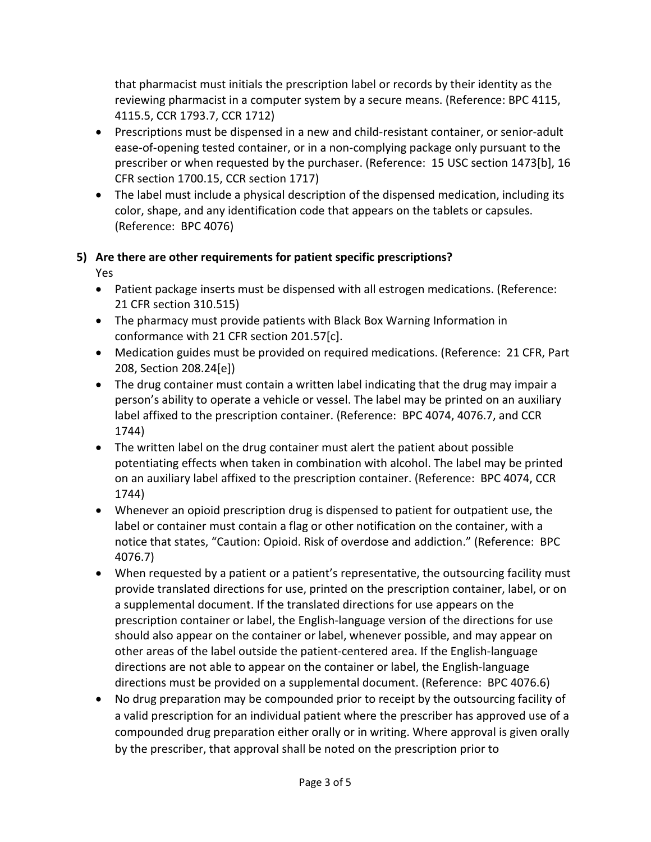that pharmacist must initials the prescription label or records by their identity as the reviewing pharmacist in a computer system by a secure means. (Reference: BPC 4115, 4115.5, CCR 1793.7, CCR 1712)

- Prescriptions must be dispensed in a new and child-resistant container, or senior-adult ease-of-opening tested container, or in a non-complying package only pursuant to the prescriber or when requested by the purchaser. (Reference: 15 USC section 1473[b], 16 CFR section 1700.15, CCR section 1717)
- The label must include a physical description of the dispensed medication, including its color, shape, and any identification code that appears on the tablets or capsules. (Reference: BPC 4076)

#### **5) Are there are other requirements for patient specific prescriptions?** Yes

- Patient package inserts must be dispensed with all estrogen medications. (Reference: 21 CFR section 310.515)
- The pharmacy must provide patients with Black Box Warning Information in conformance with 21 CFR section 201.57[c].
- Medication guides must be provided on required medications. (Reference: 21 CFR, Part 208, Section 208.24[e])
- The drug container must contain a written label indicating that the drug may impair a person's ability to operate a vehicle or vessel. The label may be printed on an auxiliary label affixed to the prescription container. (Reference: BPC 4074, 4076.7, and CCR 1744)
- The written label on the drug container must alert the patient about possible potentiating effects when taken in combination with alcohol. The label may be printed on an auxiliary label affixed to the prescription container. (Reference: BPC 4074, CCR 1744)
- Whenever an opioid prescription drug is dispensed to patient for outpatient use, the label or container must contain a flag or other notification on the container, with a notice that states, "Caution: Opioid. Risk of overdose and addiction." (Reference: BPC 4076.7)
- When requested by a patient or a patient's representative, the outsourcing facility must provide translated directions for use, printed on the prescription container, label, or on a supplemental document. If the translated directions for use appears on the prescription container or label, the English-language version of the directions for use should also appear on the container or label, whenever possible, and may appear on other areas of the label outside the patient-centered area. If the English-language directions are not able to appear on the container or label, the English-language directions must be provided on a supplemental document. (Reference: BPC 4076.6)
- No drug preparation may be compounded prior to receipt by the outsourcing facility of a valid prescription for an individual patient where the prescriber has approved use of a compounded drug preparation either orally or in writing. Where approval is given orally by the prescriber, that approval shall be noted on the prescription prior to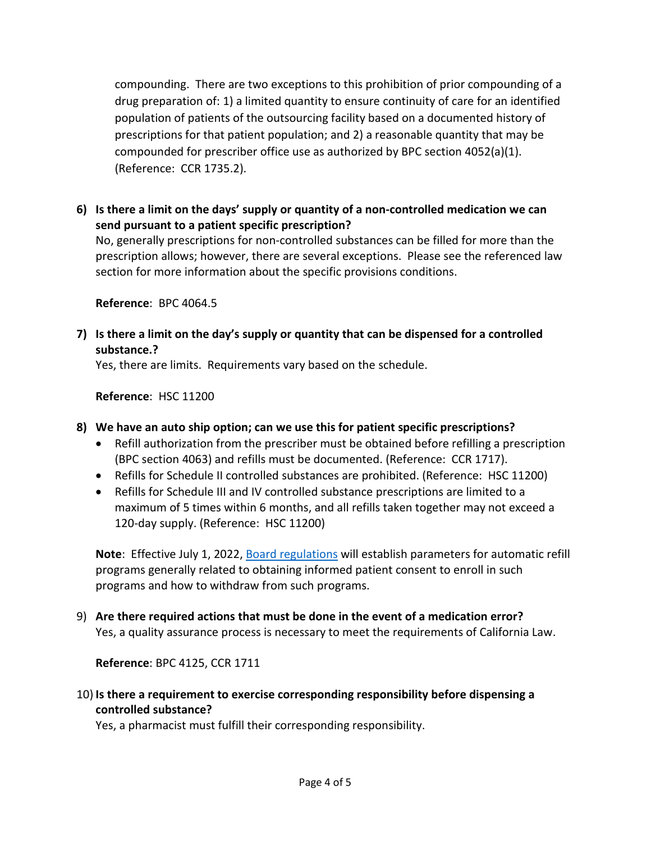compounding. There are two exceptions to this prohibition of prior compounding of a drug preparation of: 1) a limited quantity to ensure continuity of care for an identified population of patients of the outsourcing facility based on a documented history of prescriptions for that patient population; and 2) a reasonable quantity that may be compounded for prescriber office use as authorized by BPC section 4052(a)(1). (Reference: CCR 1735.2).

**6) Is there a limit on the days' supply or quantity of a non-controlled medication we can send pursuant to a patient specific prescription?**

No, generally prescriptions for non-controlled substances can be filled for more than the prescription allows; however, there are several exceptions. Please see the referenced law section for more information about the specific provisions conditions.

**Reference**: BPC 4064.5

**7) Is there a limit on the day's supply or quantity that can be dispensed for a controlled substance.?**

Yes, there are limits. Requirements vary based on the schedule.

**Reference**: HSC 11200

#### **8) We have an auto ship option; can we use this for patient specific prescriptions?**

- Refill authorization from the prescriber must be obtained before refilling a prescription (BPC section 4063) and refills must be documented. (Reference: CCR 1717).
- Refills for Schedule II controlled substances are prohibited. (Reference: HSC 11200)
- Refills for Schedule III and IV controlled substance prescriptions are limited to a maximum of 5 times within 6 months, and all refills taken together may not exceed a 120-day supply. (Reference: HSC 11200)

**Note**: Effective July 1, 2022, [Board regulations](https://www.pharmacy.ca.gov/laws_regs/1717_5_oa.pdf) will establish parameters for automatic refill programs generally related to obtaining informed patient consent to enroll in such programs and how to withdraw from such programs.

9) **Are there required actions that must be done in the event of a medication error?**  Yes, a quality assurance process is necessary to meet the requirements of California Law.

**Reference**: BPC 4125, CCR 1711

10) **Is there a requirement to exercise corresponding responsibility before dispensing a controlled substance?** 

Yes, a pharmacist must fulfill their corresponding responsibility.